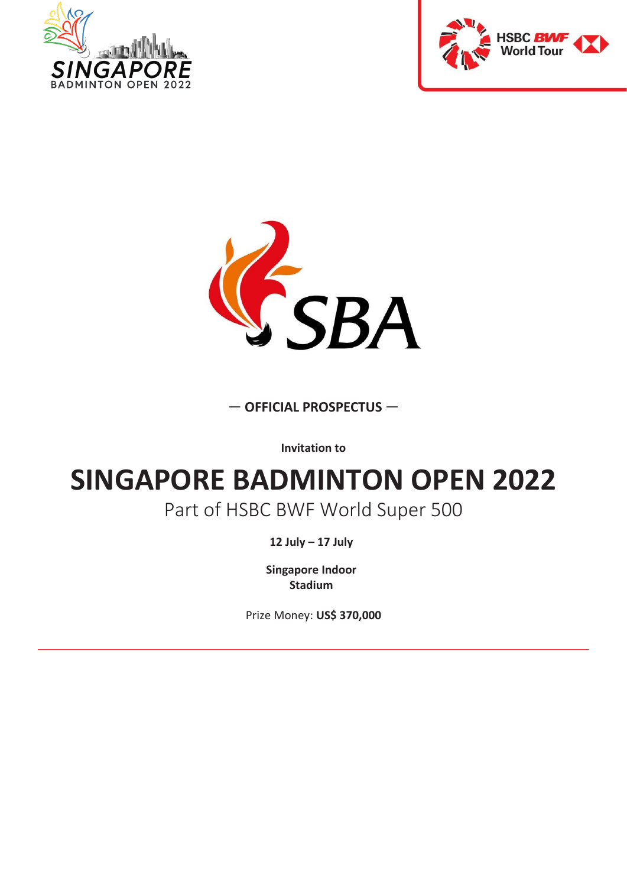





#### — **OFFICIAL PROSPECTUS** —

**Invitation to**

# **SINGAPORE BADMINTON OPEN 2022**

#### Part of HSBC BWF World Super 500

**12 July – 17 July**

**Singapore Indoor Stadium**

Prize Money: **US\$ 370,000**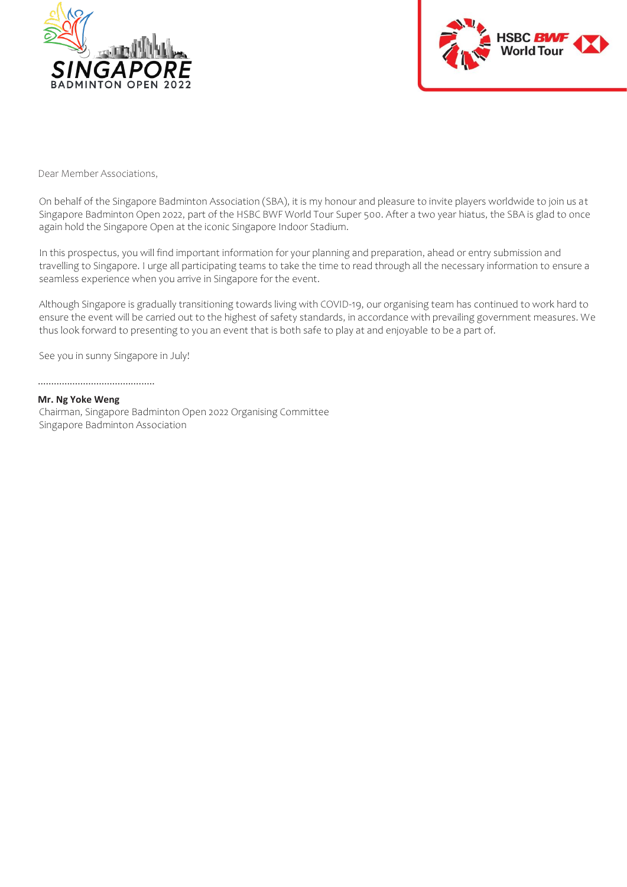



Dear Member Associations,

On behalf of the Singapore Badminton Association (SBA), it is my honour and pleasure to invite players worldwide to join us at Singapore Badminton Open 2022, part of the HSBC BWF World Tour Super 500. After a two year hiatus, the SBA is glad to once again hold the Singapore Open at the iconic Singapore Indoor Stadium.

In this prospectus, you will find important information for your planning and preparation, ahead or entry submission and travelling to Singapore. I urge all participating teams to take the time to read through all the necessary information to ensure a seamless experience when you arrive in Singapore for the event.

Although Singapore is gradually transitioning towards living with COVID-19, our organising team has continued to work hard to ensure the event will be carried out to the highest of safety standards, in accordance with prevailing government measures. We thus look forward to presenting to you an event that is both safe to play at and enjoyable to be a part of.

See you in sunny Singapore in July!

............................................

#### **Mr. Ng Yoke Weng**

Chairman, Singapore Badminton Open 2022 Organising Committee Singapore Badminton Association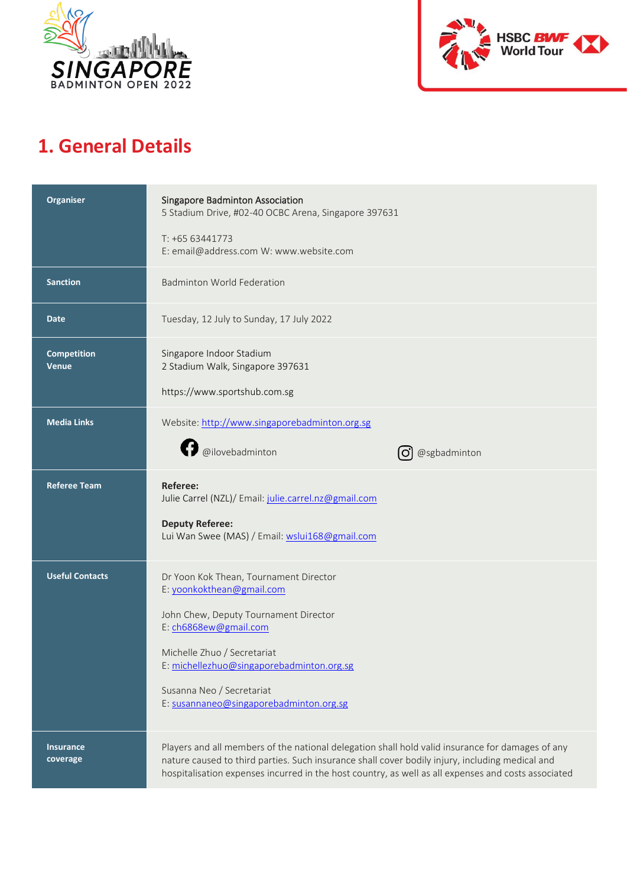



### **1. General Details**

| Organiser                          | <b>Singapore Badminton Association</b><br>5 Stadium Drive, #02-40 OCBC Arena, Singapore 397631<br>T: +65 63441773                                                                                                                                                                                          |
|------------------------------------|------------------------------------------------------------------------------------------------------------------------------------------------------------------------------------------------------------------------------------------------------------------------------------------------------------|
|                                    | E: email@address.com W: www.website.com                                                                                                                                                                                                                                                                    |
| <b>Sanction</b>                    | <b>Badminton World Federation</b>                                                                                                                                                                                                                                                                          |
| <b>Date</b>                        | Tuesday, 12 July to Sunday, 17 July 2022                                                                                                                                                                                                                                                                   |
| <b>Competition</b><br><b>Venue</b> | Singapore Indoor Stadium<br>2 Stadium Walk, Singapore 397631                                                                                                                                                                                                                                               |
|                                    | https://www.sportshub.com.sg                                                                                                                                                                                                                                                                               |
| <b>Media Links</b>                 | Website: http://www.singaporebadminton.org.sg                                                                                                                                                                                                                                                              |
|                                    | <b>D</b> @ilovebadminton<br>@sgbadminton                                                                                                                                                                                                                                                                   |
| <b>Referee Team</b>                | <b>Referee:</b><br>Julie Carrel (NZL)/ Email: julie.carrel.nz@gmail.com                                                                                                                                                                                                                                    |
|                                    | <b>Deputy Referee:</b><br>Lui Wan Swee (MAS) / Email: wslui168@gmail.com                                                                                                                                                                                                                                   |
| <b>Useful Contacts</b>             | Dr Yoon Kok Thean, Tournament Director<br>E: yoonkokthean@gmail.com                                                                                                                                                                                                                                        |
|                                    | John Chew, Deputy Tournament Director<br>E: ch6868ew@gmail.com                                                                                                                                                                                                                                             |
|                                    | Michelle Zhuo / Secretariat<br>E: michellezhuo@singaporebadminton.org.sg                                                                                                                                                                                                                                   |
|                                    | Susanna Neo / Secretariat<br>E: susannaneo@singaporebadminton.org.sg                                                                                                                                                                                                                                       |
| <b>Insurance</b><br>coverage       | Players and all members of the national delegation shall hold valid insurance for damages of any<br>nature caused to third parties. Such insurance shall cover bodily injury, including medical and<br>hospitalisation expenses incurred in the host country, as well as all expenses and costs associated |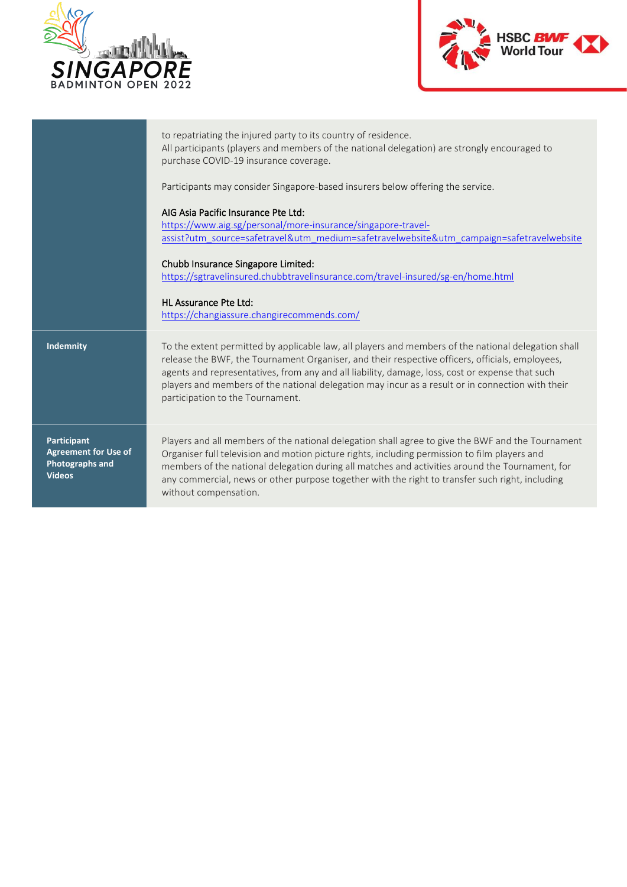



|                                                                                       | to repatriating the injured party to its country of residence.<br>All participants (players and members of the national delegation) are strongly encouraged to<br>purchase COVID-19 insurance coverage.                                                                                                                                                                                                                                           |
|---------------------------------------------------------------------------------------|---------------------------------------------------------------------------------------------------------------------------------------------------------------------------------------------------------------------------------------------------------------------------------------------------------------------------------------------------------------------------------------------------------------------------------------------------|
|                                                                                       | Participants may consider Singapore-based insurers below offering the service.                                                                                                                                                                                                                                                                                                                                                                    |
|                                                                                       | AIG Asia Pacific Insurance Pte Ltd:<br>https://www.aig.sg/personal/more-insurance/singapore-travel-<br>assist?utm_source=safetravel&utm_medium=safetravelwebsite&utm_campaign=safetravelwebsite                                                                                                                                                                                                                                                   |
|                                                                                       | Chubb Insurance Singapore Limited:<br>https://sgtravelinsured.chubbtravelinsurance.com/travel-insured/sg-en/home.html                                                                                                                                                                                                                                                                                                                             |
|                                                                                       | HL Assurance Pte Ltd:<br>https://changiassure.changirecommends.com/                                                                                                                                                                                                                                                                                                                                                                               |
| Indemnity                                                                             | To the extent permitted by applicable law, all players and members of the national delegation shall<br>release the BWF, the Tournament Organiser, and their respective officers, officials, employees,<br>agents and representatives, from any and all liability, damage, loss, cost or expense that such<br>players and members of the national delegation may incur as a result or in connection with their<br>participation to the Tournament. |
| Participant<br><b>Agreement for Use of</b><br><b>Photographs and</b><br><b>Videos</b> | Players and all members of the national delegation shall agree to give the BWF and the Tournament<br>Organiser full television and motion picture rights, including permission to film players and<br>members of the national delegation during all matches and activities around the Tournament, for<br>any commercial, news or other purpose together with the right to transfer such right, including<br>without compensation.                 |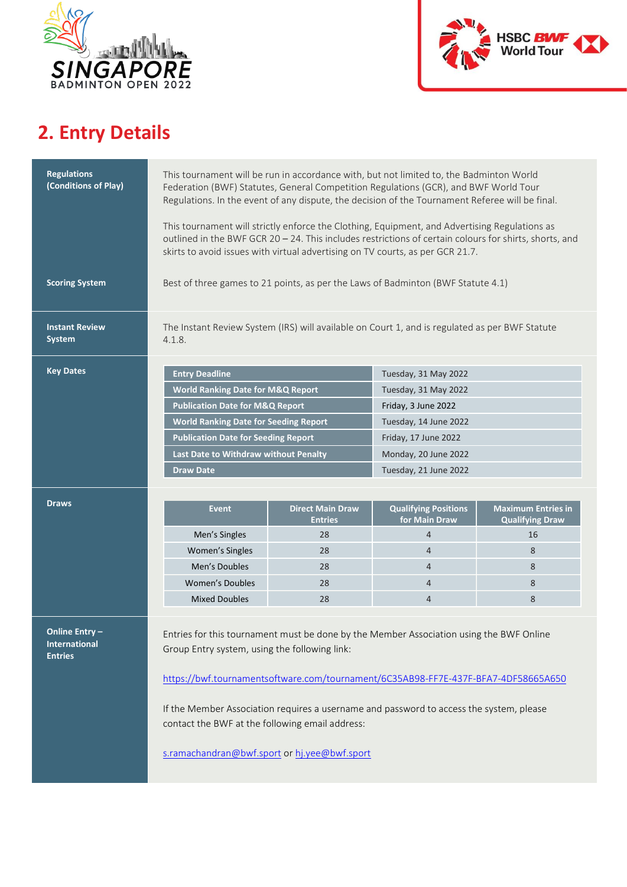



## **2. Entry Details**

| <b>Regulations</b><br>(Conditions of Play)                    | This tournament will be run in accordance with, but not limited to, the Badminton World<br>Federation (BWF) Statutes, General Competition Regulations (GCR), and BWF World Tour<br>Regulations. In the event of any dispute, the decision of the Tournament Referee will be final.<br>This tournament will strictly enforce the Clothing, Equipment, and Advertising Regulations as<br>outlined in the BWF GCR 20 - 24. This includes restrictions of certain colours for shirts, shorts, and<br>skirts to avoid issues with virtual advertising on TV courts, as per GCR 21.7. |                                           |                                              |                                                     |  |
|---------------------------------------------------------------|---------------------------------------------------------------------------------------------------------------------------------------------------------------------------------------------------------------------------------------------------------------------------------------------------------------------------------------------------------------------------------------------------------------------------------------------------------------------------------------------------------------------------------------------------------------------------------|-------------------------------------------|----------------------------------------------|-----------------------------------------------------|--|
| <b>Scoring System</b>                                         | Best of three games to 21 points, as per the Laws of Badminton (BWF Statute 4.1)                                                                                                                                                                                                                                                                                                                                                                                                                                                                                                |                                           |                                              |                                                     |  |
| <b>Instant Review</b><br><b>System</b>                        | The Instant Review System (IRS) will available on Court 1, and is regulated as per BWF Statute<br>4.1.8.                                                                                                                                                                                                                                                                                                                                                                                                                                                                        |                                           |                                              |                                                     |  |
| <b>Key Dates</b>                                              | <b>Entry Deadline</b>                                                                                                                                                                                                                                                                                                                                                                                                                                                                                                                                                           |                                           | Tuesday, 31 May 2022                         |                                                     |  |
|                                                               | <b>World Ranking Date for M&amp;Q Report</b>                                                                                                                                                                                                                                                                                                                                                                                                                                                                                                                                    |                                           | Tuesday, 31 May 2022                         |                                                     |  |
|                                                               | <b>Publication Date for M&amp;Q Report</b>                                                                                                                                                                                                                                                                                                                                                                                                                                                                                                                                      |                                           | Friday, 3 June 2022                          |                                                     |  |
|                                                               | <b>World Ranking Date for Seeding Report</b>                                                                                                                                                                                                                                                                                                                                                                                                                                                                                                                                    |                                           | Tuesday, 14 June 2022                        |                                                     |  |
|                                                               | <b>Publication Date for Seeding Report</b>                                                                                                                                                                                                                                                                                                                                                                                                                                                                                                                                      |                                           | Friday, 17 June 2022                         |                                                     |  |
|                                                               | Last Date to Withdraw without Penalty                                                                                                                                                                                                                                                                                                                                                                                                                                                                                                                                           |                                           | Monday, 20 June 2022                         |                                                     |  |
|                                                               | <b>Draw Date</b>                                                                                                                                                                                                                                                                                                                                                                                                                                                                                                                                                                |                                           | Tuesday, 21 June 2022                        |                                                     |  |
|                                                               |                                                                                                                                                                                                                                                                                                                                                                                                                                                                                                                                                                                 |                                           |                                              |                                                     |  |
| <b>Draws</b>                                                  | <b>Event</b>                                                                                                                                                                                                                                                                                                                                                                                                                                                                                                                                                                    | <b>Direct Main Draw</b><br><b>Entries</b> | <b>Qualifying Positions</b><br>for Main Draw | <b>Maximum Entries in</b><br><b>Qualifying Draw</b> |  |
|                                                               | Men's Singles                                                                                                                                                                                                                                                                                                                                                                                                                                                                                                                                                                   | 28                                        | $\overline{4}$                               | 16                                                  |  |
|                                                               | Women's Singles                                                                                                                                                                                                                                                                                                                                                                                                                                                                                                                                                                 | 28                                        | $\overline{4}$                               | 8                                                   |  |
|                                                               | Men's Doubles                                                                                                                                                                                                                                                                                                                                                                                                                                                                                                                                                                   | 28                                        | $\overline{4}$                               | 8                                                   |  |
|                                                               | <b>Women's Doubles</b>                                                                                                                                                                                                                                                                                                                                                                                                                                                                                                                                                          | 28                                        | $\overline{4}$                               | 8                                                   |  |
|                                                               | <b>Mixed Doubles</b>                                                                                                                                                                                                                                                                                                                                                                                                                                                                                                                                                            | 28                                        | $\overline{4}$                               | 8                                                   |  |
| <b>Online Entry</b><br><b>International</b><br><b>Entries</b> | Entries for this tournament must be done by the Member Association using the BWF Online<br>Group Entry system, using the following link:<br>https://bwf.tournamentsoftware.com/tournament/6C35AB98-FF7E-437F-BFA7-4DF58665A650<br>If the Member Association requires a username and password to access the system, please<br>contact the BWF at the following email address:                                                                                                                                                                                                    |                                           |                                              |                                                     |  |

[s.ramachandran@bwf.sport](mailto:s.ramachandran@bwf.sport) o[r hj.yee@bwf.sport](mailto:hj.yee@bwf.sport)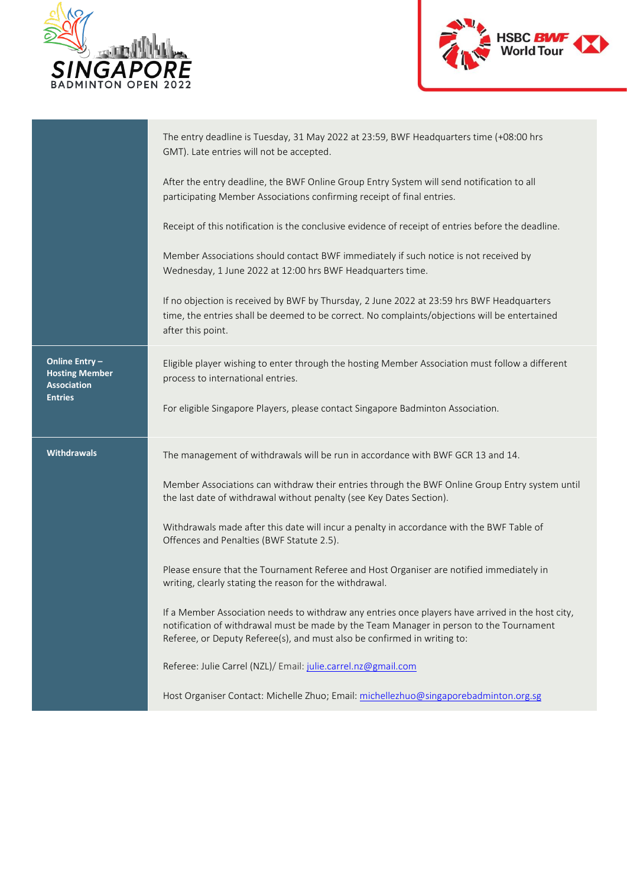



|                                                              | The entry deadline is Tuesday, 31 May 2022 at 23:59, BWF Headquarters time (+08:00 hrs<br>GMT). Late entries will not be accepted.                                                                                                                                       |
|--------------------------------------------------------------|--------------------------------------------------------------------------------------------------------------------------------------------------------------------------------------------------------------------------------------------------------------------------|
|                                                              | After the entry deadline, the BWF Online Group Entry System will send notification to all<br>participating Member Associations confirming receipt of final entries.                                                                                                      |
|                                                              | Receipt of this notification is the conclusive evidence of receipt of entries before the deadline.                                                                                                                                                                       |
|                                                              | Member Associations should contact BWF immediately if such notice is not received by<br>Wednesday, 1 June 2022 at 12:00 hrs BWF Headquarters time.                                                                                                                       |
|                                                              | If no objection is received by BWF by Thursday, 2 June 2022 at 23:59 hrs BWF Headquarters<br>time, the entries shall be deemed to be correct. No complaints/objections will be entertained<br>after this point.                                                          |
| Online Entry-<br><b>Hosting Member</b><br><b>Association</b> | Eligible player wishing to enter through the hosting Member Association must follow a different<br>process to international entries.                                                                                                                                     |
| <b>Entries</b>                                               | For eligible Singapore Players, please contact Singapore Badminton Association.                                                                                                                                                                                          |
| <b>Withdrawals</b>                                           | The management of withdrawals will be run in accordance with BWF GCR 13 and 14.                                                                                                                                                                                          |
|                                                              | Member Associations can withdraw their entries through the BWF Online Group Entry system until<br>the last date of withdrawal without penalty (see Key Dates Section).                                                                                                   |
|                                                              | Withdrawals made after this date will incur a penalty in accordance with the BWF Table of<br>Offences and Penalties (BWF Statute 2.5).                                                                                                                                   |
|                                                              | Please ensure that the Tournament Referee and Host Organiser are notified immediately in<br>writing, clearly stating the reason for the withdrawal.                                                                                                                      |
|                                                              | If a Member Association needs to withdraw any entries once players have arrived in the host city,<br>notification of withdrawal must be made by the Team Manager in person to the Tournament<br>Referee, or Deputy Referee(s), and must also be confirmed in writing to: |
|                                                              | Referee: Julie Carrel (NZL)/ Email: julie.carrel.nz@gmail.com                                                                                                                                                                                                            |
|                                                              | Host Organiser Contact: Michelle Zhuo; Email: michellezhuo@singaporebadminton.org.sg                                                                                                                                                                                     |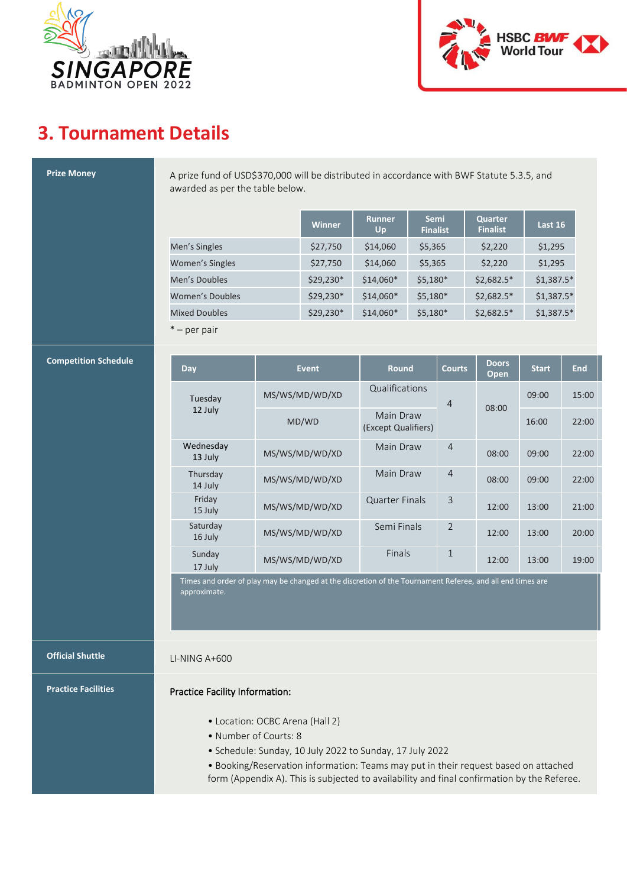



### **3. Tournament Details**

| <b>Prize Money</b>          | A prize fund of USD\$370,000 will be distributed in accordance with BWF Statute 5.3.5, and<br>awarded as per the table below.                                                                                                                                                                              |  |                |                                  |                                |                |                                   |              |            |
|-----------------------------|------------------------------------------------------------------------------------------------------------------------------------------------------------------------------------------------------------------------------------------------------------------------------------------------------------|--|----------------|----------------------------------|--------------------------------|----------------|-----------------------------------|--------------|------------|
|                             |                                                                                                                                                                                                                                                                                                            |  | Winner         | <b>Runner</b><br>Up              | <b>Semi</b><br><b>Finalist</b> |                | <b>Quarter</b><br><b>Finalist</b> | Last 16      |            |
|                             | Men's Singles                                                                                                                                                                                                                                                                                              |  | \$27,750       | \$14,060                         | \$5,365                        |                | \$2,220                           | \$1,295      |            |
|                             | <b>Women's Singles</b>                                                                                                                                                                                                                                                                                     |  | \$27,750       | \$14,060                         | \$5,365                        |                | \$2,220                           | \$1,295      |            |
|                             | Men's Doubles                                                                                                                                                                                                                                                                                              |  | \$29,230*      | \$14,060*                        | $$5,180*$                      |                | $$2,682.5*$                       | $$1,387.5*$  |            |
|                             | <b>Women's Doubles</b>                                                                                                                                                                                                                                                                                     |  | \$29,230*      | $$14,060*$                       | $$5,180*$                      |                | $$2,682.5*$                       | $$1,387.5*$  |            |
|                             | <b>Mixed Doubles</b>                                                                                                                                                                                                                                                                                       |  | \$29,230*      | \$14,060*                        | $$5,180*$                      |                | $$2,682.5*$                       | $$1,387.5*$  |            |
|                             | $*$ – per pair                                                                                                                                                                                                                                                                                             |  |                |                                  |                                |                |                                   |              |            |
| <b>Competition Schedule</b> | <b>Day</b>                                                                                                                                                                                                                                                                                                 |  | <b>Event</b>   | <b>Round</b>                     |                                | <b>Courts</b>  | <b>Doors</b><br>Open              | <b>Start</b> | <b>End</b> |
|                             | Tuesday                                                                                                                                                                                                                                                                                                    |  | MS/WS/MD/WD/XD | Qualifications                   |                                | $\overline{4}$ |                                   | 09:00        | 15:00      |
|                             | 12 July                                                                                                                                                                                                                                                                                                    |  | MD/WD          | Main Draw<br>(Except Qualifiers) |                                |                | 08:00                             | 16:00        | 22:00      |
|                             | Wednesday<br>13 July                                                                                                                                                                                                                                                                                       |  | MS/WS/MD/WD/XD | Main Draw                        |                                | $\overline{4}$ | 08:00                             | 09:00        | 22:00      |
|                             | Thursday<br>14 July                                                                                                                                                                                                                                                                                        |  | MS/WS/MD/WD/XD | Main Draw                        |                                | $\overline{4}$ | 08:00                             | 09:00        | 22:00      |
|                             | Friday<br>15 July                                                                                                                                                                                                                                                                                          |  | MS/WS/MD/WD/XD | <b>Quarter Finals</b>            |                                | 3              | 12:00                             | 13:00        | 21:00      |
|                             | Saturday<br>16 July                                                                                                                                                                                                                                                                                        |  | MS/WS/MD/WD/XD | Semi Finals                      |                                | $\overline{2}$ | 12:00                             | 13:00        | 20:00      |
|                             | Sunday<br>17 July                                                                                                                                                                                                                                                                                          |  | MS/WS/MD/WD/XD | Finals                           |                                | $\mathbf{1}$   | 12:00                             | 13:00        | 19:00      |
|                             | Times and order of play may be changed at the discretion of the Tournament Referee, and all end times are<br>approximate.                                                                                                                                                                                  |  |                |                                  |                                |                |                                   |              |            |
| <b>Official Shuttle</b>     | $LI-NING A+600$                                                                                                                                                                                                                                                                                            |  |                |                                  |                                |                |                                   |              |            |
| <b>Practice Facilities</b>  | Practice Facility Information:                                                                                                                                                                                                                                                                             |  |                |                                  |                                |                |                                   |              |            |
|                             | • Location: OCBC Arena (Hall 2)<br>• Number of Courts: 8<br>• Schedule: Sunday, 10 July 2022 to Sunday, 17 July 2022<br>• Booking/Reservation information: Teams may put in their request based on attached<br>form (Appendix A). This is subjected to availability and final confirmation by the Referee. |  |                |                                  |                                |                |                                   |              |            |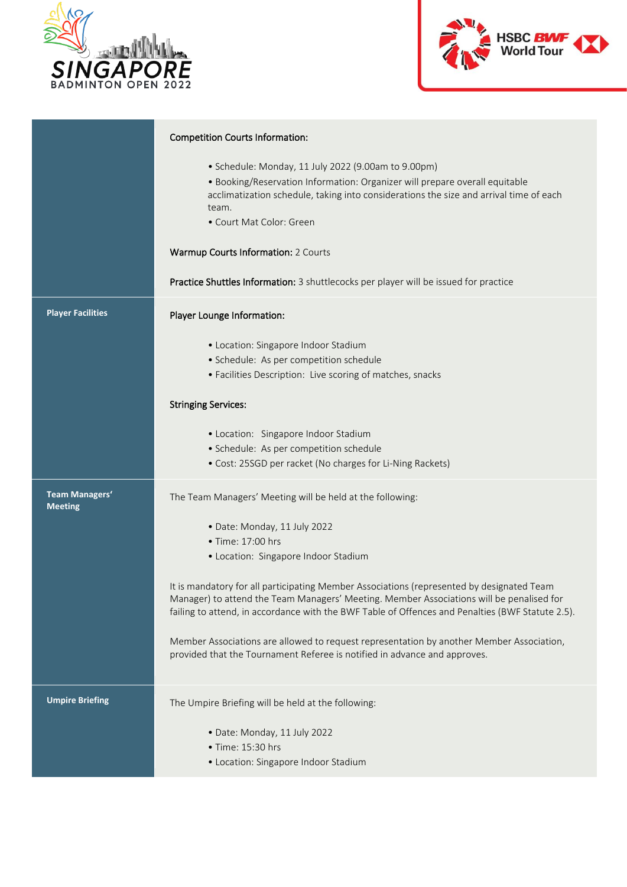



|                                         | <b>Competition Courts Information:</b>                                                                                                                                                                                                                                                    |
|-----------------------------------------|-------------------------------------------------------------------------------------------------------------------------------------------------------------------------------------------------------------------------------------------------------------------------------------------|
|                                         | • Schedule: Monday, 11 July 2022 (9.00am to 9.00pm)<br>· Booking/Reservation Information: Organizer will prepare overall equitable<br>acclimatization schedule, taking into considerations the size and arrival time of each<br>team.<br>• Court Mat Color: Green                         |
|                                         | Warmup Courts Information: 2 Courts                                                                                                                                                                                                                                                       |
|                                         | Practice Shuttles Information: 3 shuttlecocks per player will be issued for practice                                                                                                                                                                                                      |
| <b>Player Facilities</b>                | Player Lounge Information:                                                                                                                                                                                                                                                                |
|                                         | • Location: Singapore Indoor Stadium<br>· Schedule: As per competition schedule<br>• Facilities Description: Live scoring of matches, snacks                                                                                                                                              |
|                                         | <b>Stringing Services:</b>                                                                                                                                                                                                                                                                |
|                                         | • Location: Singapore Indoor Stadium<br>· Schedule: As per competition schedule<br>• Cost: 25SGD per racket (No charges for Li-Ning Rackets)                                                                                                                                              |
| <b>Team Managers'</b><br><b>Meeting</b> | The Team Managers' Meeting will be held at the following:                                                                                                                                                                                                                                 |
|                                         | · Date: Monday, 11 July 2022                                                                                                                                                                                                                                                              |
|                                         | • Time: 17:00 hrs<br>• Location: Singapore Indoor Stadium                                                                                                                                                                                                                                 |
|                                         | It is mandatory for all participating Member Associations (represented by designated Team<br>Manager) to attend the Team Managers' Meeting. Member Associations will be penalised for<br>failing to attend, in accordance with the BWF Table of Offences and Penalties (BWF Statute 2.5). |
|                                         | Member Associations are allowed to request representation by another Member Association,<br>provided that the Tournament Referee is notified in advance and approves.                                                                                                                     |
| <b>Umpire Briefing</b>                  | The Umpire Briefing will be held at the following:                                                                                                                                                                                                                                        |
|                                         | · Date: Monday, 11 July 2022<br>• Time: 15:30 hrs                                                                                                                                                                                                                                         |
|                                         | • Location: Singapore Indoor Stadium                                                                                                                                                                                                                                                      |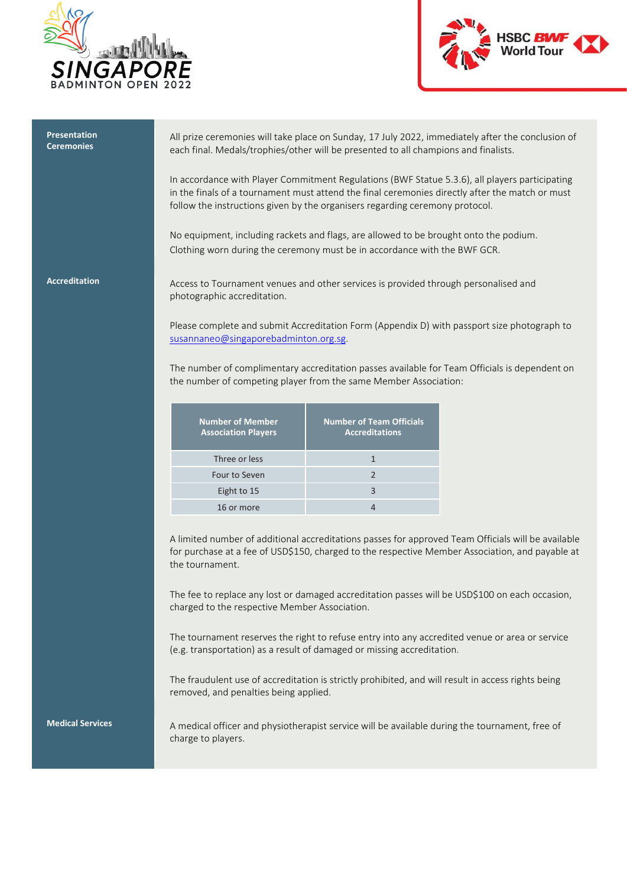



| <b>Presentation</b><br><b>Ceremonies</b> | All prize ceremonies will take place on Sunday, 17 July 2022, immediately after the conclusion of<br>each final. Medals/trophies/other will be presented to all champions and finalists.                                                                                          |                                                          |                                                                                               |  |  |
|------------------------------------------|-----------------------------------------------------------------------------------------------------------------------------------------------------------------------------------------------------------------------------------------------------------------------------------|----------------------------------------------------------|-----------------------------------------------------------------------------------------------|--|--|
|                                          | In accordance with Player Commitment Regulations (BWF Statue 5.3.6), all players participating<br>in the finals of a tournament must attend the final ceremonies directly after the match or must<br>follow the instructions given by the organisers regarding ceremony protocol. |                                                          |                                                                                               |  |  |
|                                          | No equipment, including rackets and flags, are allowed to be brought onto the podium.<br>Clothing worn during the ceremony must be in accordance with the BWF GCR.                                                                                                                |                                                          |                                                                                               |  |  |
| <b>Accreditation</b>                     | Access to Tournament venues and other services is provided through personalised and<br>photographic accreditation.                                                                                                                                                                |                                                          |                                                                                               |  |  |
|                                          | Please complete and submit Accreditation Form (Appendix D) with passport size photograph to<br>susannaneo@singaporebadminton.org.sg.                                                                                                                                              |                                                          |                                                                                               |  |  |
|                                          | the number of competing player from the same Member Association:                                                                                                                                                                                                                  |                                                          | The number of complimentary accreditation passes available for Team Officials is dependent on |  |  |
|                                          | <b>Number of Member</b><br><b>Association Players</b>                                                                                                                                                                                                                             | <b>Number of Team Officials</b><br><b>Accreditations</b> |                                                                                               |  |  |
|                                          | Three or less                                                                                                                                                                                                                                                                     | $\mathbf{1}$                                             |                                                                                               |  |  |
|                                          | Four to Seven                                                                                                                                                                                                                                                                     | $\overline{2}$                                           |                                                                                               |  |  |
|                                          | Eight to 15                                                                                                                                                                                                                                                                       | 3                                                        |                                                                                               |  |  |
|                                          | 16 or more                                                                                                                                                                                                                                                                        | 4                                                        |                                                                                               |  |  |
|                                          | A limited number of additional accreditations passes for approved Team Officials will be available<br>for purchase at a fee of USD\$150, charged to the respective Member Association, and payable at<br>the tournament.                                                          |                                                          |                                                                                               |  |  |
|                                          | The fee to replace any lost or damaged accreditation passes will be USD\$100 on each occasion,<br>charged to the respective Member Association.                                                                                                                                   |                                                          |                                                                                               |  |  |
|                                          | The tournament reserves the right to refuse entry into any accredited venue or area or service<br>(e.g. transportation) as a result of damaged or missing accreditation.                                                                                                          |                                                          |                                                                                               |  |  |
|                                          | The fraudulent use of accreditation is strictly prohibited, and will result in access rights being<br>removed, and penalties being applied.                                                                                                                                       |                                                          |                                                                                               |  |  |
| <b>Medical Services</b>                  | A medical officer and physiotherapist service will be available during the tournament, free of<br>charge to players.                                                                                                                                                              |                                                          |                                                                                               |  |  |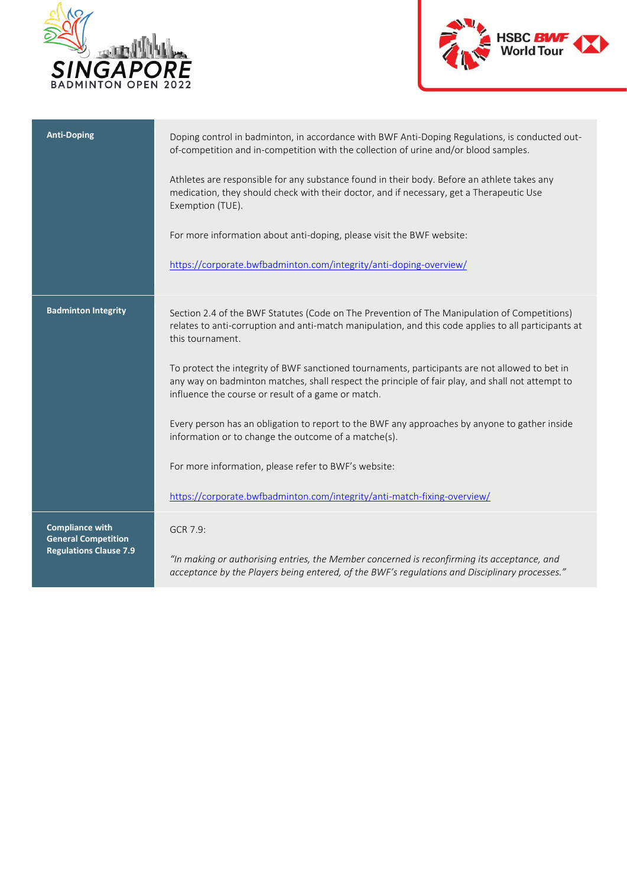



| <b>Anti-Doping</b>                                   | Doping control in badminton, in accordance with BWF Anti-Doping Regulations, is conducted out-<br>of-competition and in-competition with the collection of urine and/or blood samples.                                                                   |
|------------------------------------------------------|----------------------------------------------------------------------------------------------------------------------------------------------------------------------------------------------------------------------------------------------------------|
|                                                      | Athletes are responsible for any substance found in their body. Before an athlete takes any<br>medication, they should check with their doctor, and if necessary, get a Therapeutic Use<br>Exemption (TUE).                                              |
|                                                      | For more information about anti-doping, please visit the BWF website:                                                                                                                                                                                    |
|                                                      | https://corporate.bwfbadminton.com/integrity/anti-doping-overview/                                                                                                                                                                                       |
| <b>Badminton Integrity</b>                           | Section 2.4 of the BWF Statutes (Code on The Prevention of The Manipulation of Competitions)<br>relates to anti-corruption and anti-match manipulation, and this code applies to all participants at<br>this tournament.                                 |
|                                                      | To protect the integrity of BWF sanctioned tournaments, participants are not allowed to bet in<br>any way on badminton matches, shall respect the principle of fair play, and shall not attempt to<br>influence the course or result of a game or match. |
|                                                      | Every person has an obligation to report to the BWF any approaches by anyone to gather inside<br>information or to change the outcome of a matche(s).                                                                                                    |
|                                                      | For more information, please refer to BWF's website:                                                                                                                                                                                                     |
|                                                      | https://corporate.bwfbadminton.com/integrity/anti-match-fixing-overview/                                                                                                                                                                                 |
| <b>Compliance with</b><br><b>General Competition</b> | GCR 7.9:                                                                                                                                                                                                                                                 |
| <b>Regulations Clause 7.9</b>                        | "In making or authorising entries, the Member concerned is reconfirming its acceptance, and<br>acceptance by the Players being entered, of the BWF's regulations and Disciplinary processes."                                                            |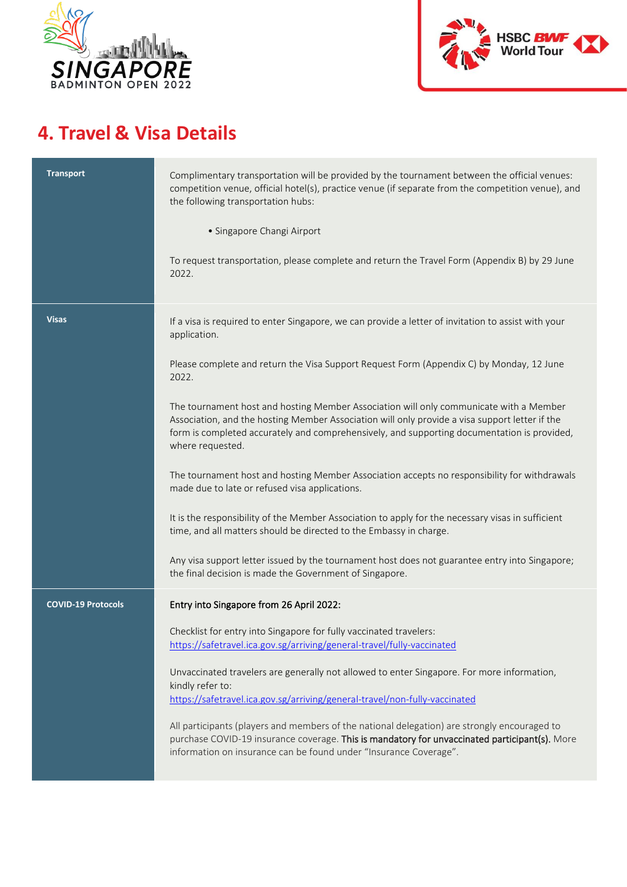



#### **4. Travel & Visa Details**

| <b>Transport</b>          | Complimentary transportation will be provided by the tournament between the official venues:<br>competition venue, official hotel(s), practice venue (if separate from the competition venue), and<br>the following transportation hubs:<br>• Singapore Changi Airport<br>To request transportation, please complete and return the Travel Form (Appendix B) by 29 June<br>2022.                                                                                                                                                                                                                                                                                                                                                                                                                                                                                                                                                                                                                                                  |
|---------------------------|-----------------------------------------------------------------------------------------------------------------------------------------------------------------------------------------------------------------------------------------------------------------------------------------------------------------------------------------------------------------------------------------------------------------------------------------------------------------------------------------------------------------------------------------------------------------------------------------------------------------------------------------------------------------------------------------------------------------------------------------------------------------------------------------------------------------------------------------------------------------------------------------------------------------------------------------------------------------------------------------------------------------------------------|
| <b>Visas</b>              | If a visa is required to enter Singapore, we can provide a letter of invitation to assist with your<br>application.<br>Please complete and return the Visa Support Request Form (Appendix C) by Monday, 12 June<br>2022.<br>The tournament host and hosting Member Association will only communicate with a Member<br>Association, and the hosting Member Association will only provide a visa support letter if the<br>form is completed accurately and comprehensively, and supporting documentation is provided,<br>where requested.<br>The tournament host and hosting Member Association accepts no responsibility for withdrawals<br>made due to late or refused visa applications.<br>It is the responsibility of the Member Association to apply for the necessary visas in sufficient<br>time, and all matters should be directed to the Embassy in charge.<br>Any visa support letter issued by the tournament host does not guarantee entry into Singapore;<br>the final decision is made the Government of Singapore. |
| <b>COVID-19 Protocols</b> | Entry into Singapore from 26 April 2022:<br>Checklist for entry into Singapore for fully vaccinated travelers:<br>https://safetravel.ica.gov.sg/arriving/general-travel/fully-vaccinated<br>Unvaccinated travelers are generally not allowed to enter Singapore. For more information,<br>kindly refer to:<br>https://safetravel.ica.gov.sg/arriving/general-travel/non-fully-vaccinated<br>All participants (players and members of the national delegation) are strongly encouraged to<br>purchase COVID-19 insurance coverage. This is mandatory for unvaccinated participant(s). More<br>information on insurance can be found under "Insurance Coverage".                                                                                                                                                                                                                                                                                                                                                                    |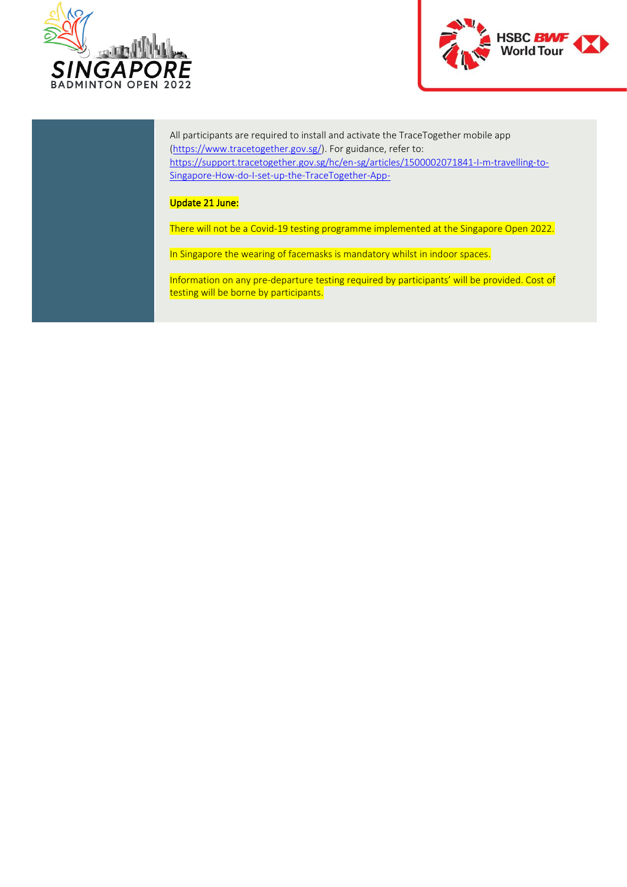



All participants are required to install and activate the TraceTogether mobile app [\(https://www.tracetogether.gov.sg/\)](https://www.tracetogether.gov.sg/). For guidance, refer to: [https://support.tracetogether.gov.sg/hc/en-sg/articles/1500002071841-I-m-travelling-to-](https://support.tracetogether.gov.sg/hc/en-sg/articles/1500002071841-I-m-travelling-to-Singapore-How-do-I-set-up-the-TraceTogether-App-)[Singapore-How-do-I-set-up-the-TraceTogether-App-](https://support.tracetogether.gov.sg/hc/en-sg/articles/1500002071841-I-m-travelling-to-Singapore-How-do-I-set-up-the-TraceTogether-App-)

#### Update 21 June:

There will not be a Covid-19 testing programme implemented at the Singapore Open 2022.

In Singapore the wearing of facemasks is mandatory whilst in indoor spaces.

Information on any pre-departure testing required by participants' will be provided. Cost of testing will be borne by participants.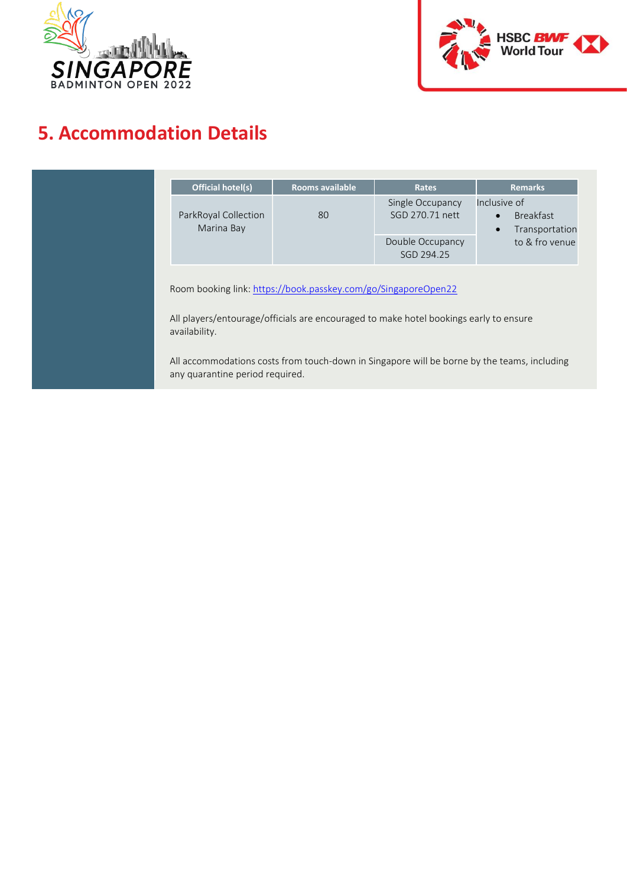



#### **5. Accommodation Details**

| <b>Official hotel(s)</b>                                                                                                                                                 | <b>Rooms available</b> | <b>Rates</b>                        | <b>Remarks</b>                                                               |  |  |
|--------------------------------------------------------------------------------------------------------------------------------------------------------------------------|------------------------|-------------------------------------|------------------------------------------------------------------------------|--|--|
| ParkRoyal Collection<br>Marina Bay                                                                                                                                       | 80                     | Single Occupancy<br>SGD 270.71 nett | Inclusive of<br><b>Breakfast</b><br>$\bullet$<br>Transportation<br>$\bullet$ |  |  |
|                                                                                                                                                                          |                        | Double Occupancy<br>SGD 294.25      | to & fro venue                                                               |  |  |
| Room booking link: https://book.passkey.com/go/SingaporeOpen22<br>All players/entourage/officials are encouraged to make hotel bookings early to ensure<br>availability. |                        |                                     |                                                                              |  |  |
|                                                                                                                                                                          |                        |                                     |                                                                              |  |  |